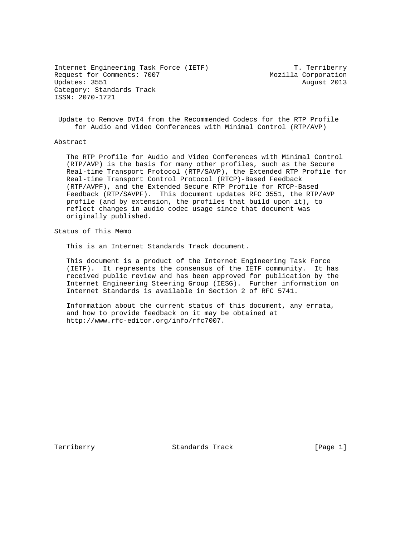Internet Engineering Task Force (IETF) T. Terriberry Request for Comments: 7007 Mozilla Corporation Updates: 3551 August 2013 Category: Standards Track ISSN: 2070-1721

 Update to Remove DVI4 from the Recommended Codecs for the RTP Profile for Audio and Video Conferences with Minimal Control (RTP/AVP)

## Abstract

 The RTP Profile for Audio and Video Conferences with Minimal Control (RTP/AVP) is the basis for many other profiles, such as the Secure Real-time Transport Protocol (RTP/SAVP), the Extended RTP Profile for Real-time Transport Control Protocol (RTCP)-Based Feedback (RTP/AVPF), and the Extended Secure RTP Profile for RTCP-Based Feedback (RTP/SAVPF). This document updates RFC 3551, the RTP/AVP profile (and by extension, the profiles that build upon it), to reflect changes in audio codec usage since that document was originally published.

Status of This Memo

This is an Internet Standards Track document.

 This document is a product of the Internet Engineering Task Force (IETF). It represents the consensus of the IETF community. It has received public review and has been approved for publication by the Internet Engineering Steering Group (IESG). Further information on Internet Standards is available in Section 2 of RFC 5741.

 Information about the current status of this document, any errata, and how to provide feedback on it may be obtained at http://www.rfc-editor.org/info/rfc7007.

Terriberry **Standards Track** [Page 1]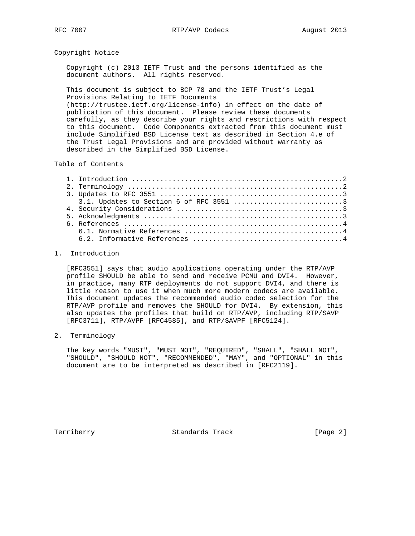RFC 7007 RTP/AVP Codecs August 2013

Copyright Notice

 Copyright (c) 2013 IETF Trust and the persons identified as the document authors. All rights reserved.

 This document is subject to BCP 78 and the IETF Trust's Legal Provisions Relating to IETF Documents (http://trustee.ietf.org/license-info) in effect on the date of publication of this document. Please review these documents carefully, as they describe your rights and restrictions with respect to this document. Code Components extracted from this document must include Simplified BSD License text as described in Section 4.e of the Trust Legal Provisions and are provided without warranty as described in the Simplified BSD License.

### Table of Contents

### 1. Introduction

 [RFC3551] says that audio applications operating under the RTP/AVP profile SHOULD be able to send and receive PCMU and DVI4. However, in practice, many RTP deployments do not support DVI4, and there is little reason to use it when much more modern codecs are available. This document updates the recommended audio codec selection for the RTP/AVP profile and removes the SHOULD for DVI4. By extension, this also updates the profiles that build on RTP/AVP, including RTP/SAVP [RFC3711], RTP/AVPF [RFC4585], and RTP/SAVPF [RFC5124].

#### 2. Terminology

 The key words "MUST", "MUST NOT", "REQUIRED", "SHALL", "SHALL NOT", "SHOULD", "SHOULD NOT", "RECOMMENDED", "MAY", and "OPTIONAL" in this document are to be interpreted as described in [RFC2119].

Terriberry Standards Track [Page 2]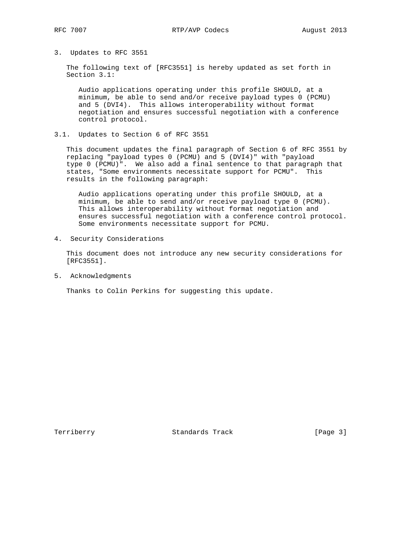# 3. Updates to RFC 3551

 The following text of [RFC3551] is hereby updated as set forth in Section 3.1:

 Audio applications operating under this profile SHOULD, at a minimum, be able to send and/or receive payload types 0 (PCMU) and 5 (DVI4). This allows interoperability without format negotiation and ensures successful negotiation with a conference control protocol.

3.1. Updates to Section 6 of RFC 3551

 This document updates the final paragraph of Section 6 of RFC 3551 by replacing "payload types 0 (PCMU) and 5 (DVI4)" with "payload type 0 (PCMU)". We also add a final sentence to that paragraph that states, "Some environments necessitate support for PCMU". This results in the following paragraph:

 Audio applications operating under this profile SHOULD, at a minimum, be able to send and/or receive payload type 0 (PCMU). This allows interoperability without format negotiation and ensures successful negotiation with a conference control protocol. Some environments necessitate support for PCMU.

4. Security Considerations

 This document does not introduce any new security considerations for [RFC3551].

5. Acknowledgments

Thanks to Colin Perkins for suggesting this update.

Terriberry Standards Track [Page 3]